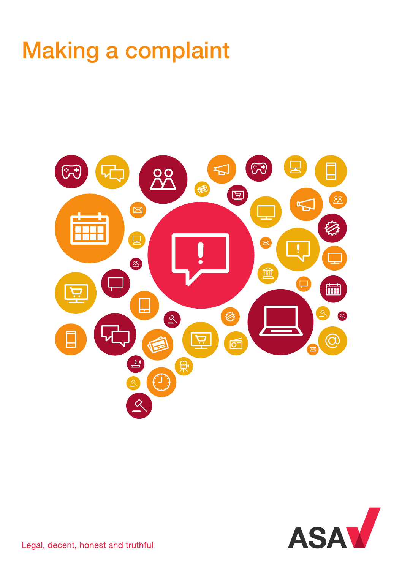# Making a complaint



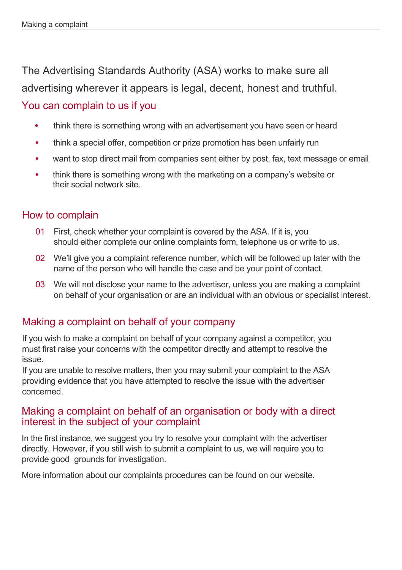The Advertising Standards Authority (ASA) works to make sure all advertising wherever it appears is legal, decent, honest and truthful.

#### You can complain to us if you

- think there is something wrong with an advertisement you have seen or heard
- think a special offer, competition or prize promotion has been unfairly run
- want to stop direct mail from companies sent either by post, fax, text message or email
- think there is something wrong with the marketing on a company's website or their social network site.

#### How to complain

- 01 First, check whether your complaint is covered by the ASA. If it is, you should either complete our online complaints form, telephone us or write to us.
- 02 We'll give you a complaint reference number, which will be followed up later with the name of the person who will handle the case and be your point of contact.
- 03 We will not disclose your name to the advertiser, unless you are making a complaint on behalf of your organisation or are an individual with an obvious or specialist interest.

## Making a complaint on behalf of your company

If you wish to make a complaint on behalf of your company against a competitor, you must first raise your concerns with the competitor directly and attempt to resolve the issue.

If you are unable to resolve matters, then you may submit your complaint to the ASA providing evidence that you have attempted to resolve the issue with the advertiser concerned.

#### Making a complaint on behalf of an organisation or body with a direct interest in the subject of your complaint

In the first instance, we suggest you try to resolve your complaint with the advertiser directly. However, if you still wish to submit a complaint to us, we will require you to provide good grounds for investigation.

More information about our complaints procedures can be found on our website.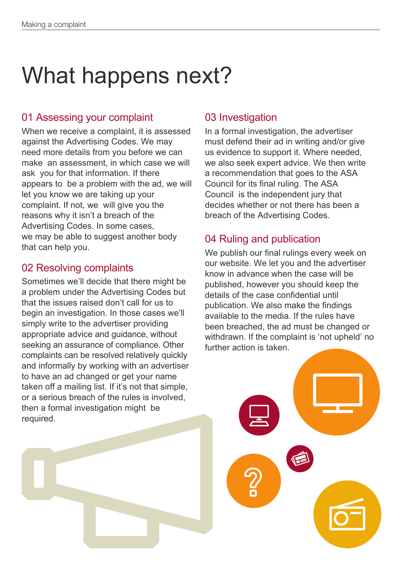# What happens next?

## 01 Assessing your complaint

When we receive a complaint, it is assessed against the Advertising Codes. We may need more details from you before we can make an assessment, in which case we will ask you for that information. If there appears to be a problem with the ad, we will let you know we are taking up your complaint. If not, we will give you the reasons why it isn't a breach of the Advertising Codes. In some cases, we may be able to suggest another body that can help you.

## 02 Resolving complaints

Sometimes we'll decide that there might be a problem under the Advertising Codes but that the issues raised don't call for us to begin an investigation. In those cases we'll simply write to the advertiser providing appropriate advice and guidance, without seeking an assurance of compliance. Other complaints can be resolved relatively quickly and informally by working with an advertiser to have an ad changed or get your name taken off a mailing list. If it's not that simple, or a serious breach of the rules is involved, then a formal investigation might be required.

## 03 Investigation

In a formal investigation, the advertiser must defend their ad in writing and/or give us evidence to support it. Where needed, we also seek expert advice. We then write a recommendation that goes to the ASA Council for its final ruling. The ASA Council is the independent jury that decides whether or not there has been a breach of the Advertising Codes.

## 04 Ruling and publication

We publish our final rulings every week on our website. We let you and the advertiser know in advance when the case will be published, however you should keep the details of the case confidential until publication. We also make the findings available to the media. If the rules have been breached, the ad must be changed or withdrawn. If the complaint is 'not upheld' no further action is taken.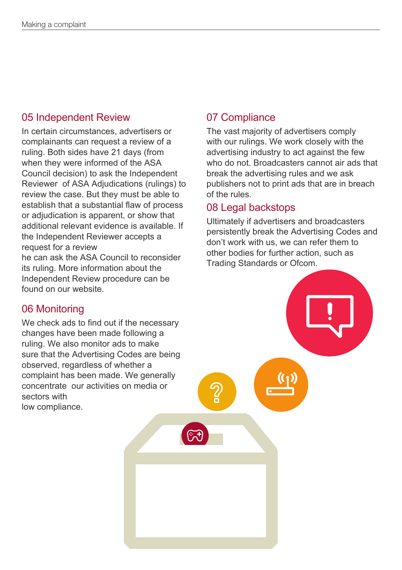## 05 Independent Review

In certain circumstances, advertisers or complainants can request a review of a ruling. Both sides have 21 days (from when they were informed of the ASA Council decision) to ask the Independent Reviewer of ASA Adjudications (rulings) to review the case. But they must be able to establish that a substantial flaw of process or adjudication is apparent, or show that additional relevant evidence is available. If the Independent Reviewer accepts a request for a review he can ask the ASA Council to reconsider

its ruling. More information about the Independent Review procedure can be found on our website.

## 06 Monitoring

We check ads to find out if the necessary changes have been made following a ruling. We also monitor ads to make sure that the Advertising Codes are being observed, regardless of whether a complaint has been made. We generally concentrate our activities on media or sectors with low compliance.

## 07 Compliance

The vast majority of advertisers comply with our rulings. We work closely with the advertising industry to act against the few who do not. Broadcasters cannot air ads that break the advertising rules and we ask publishers not to print ads that are in breach of the rules.

#### 08 Legal backstops

Ultimately if advertisers and broadcasters persistently break the Advertising Codes and don't work with us, we can refer them to other bodies for further action, such as Trading Standards or Ofcom.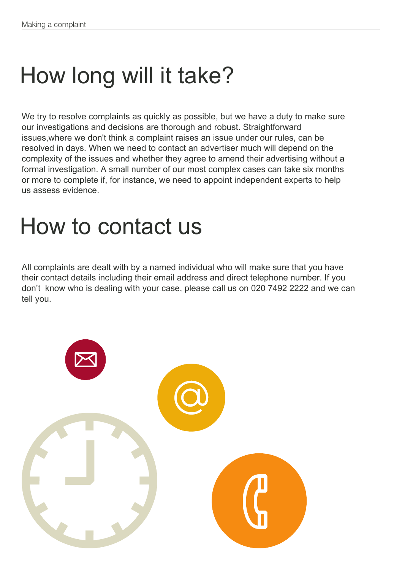# How long will it take?

We try to resolve complaints as quickly as possible, but we have a duty to make sure our investigations and decisions are thorough and robust. Straightforward issues,where we don't think a complaint raises an issue under our rules, can be resolved in days. When we need to contact an advertiser much will depend on the complexity of the issues and whether they agree to amend their advertising without a formal investigation. A small number of our most complex cases can take six months or more to complete if, for instance, we need to appoint independent experts to help us assess evidence.

## How to contact us

All complaints are dealt with by a named individual who will make sure that you have their contact details including their email address and direct telephone number. If you don't know who is dealing with your case, please call us on 020 7492 2222 and we can tell you.